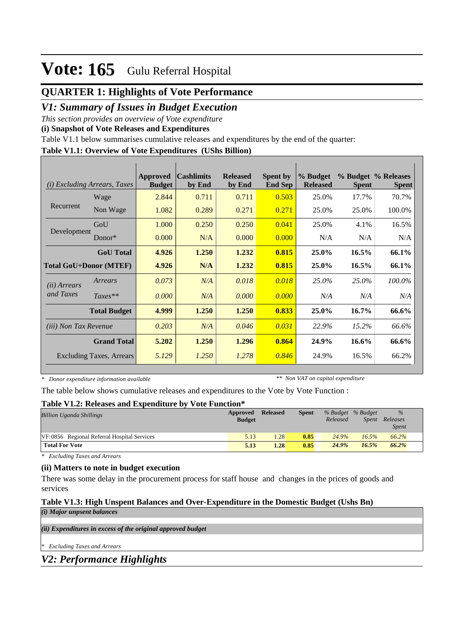# **QUARTER 1: Highlights of Vote Performance**

## *V1: Summary of Issues in Budget Execution*

*This section provides an overview of Vote expenditure* 

**(i) Snapshot of Vote Releases and Expenditures**

Table V1.1 below summarises cumulative releases and expenditures by the end of the quarter:

### **Table V1.1: Overview of Vote Expenditures (UShs Billion)**

| (i)                           | Excluding Arrears, Taxes        | <b>Approved</b><br><b>Budget</b> | <b>Cashlimits</b><br>by End | <b>Released</b><br>by End | <b>Spent by</b><br><b>End Sep</b> | % Budget<br><b>Released</b> | <b>Spent</b> | % Budget % Releases<br><b>Spent</b> |
|-------------------------------|---------------------------------|----------------------------------|-----------------------------|---------------------------|-----------------------------------|-----------------------------|--------------|-------------------------------------|
|                               | Wage                            | 2.844                            | 0.711                       | 0.711                     | 0.503                             | 25.0%                       | 17.7%        | 70.7%                               |
| Recurrent                     | Non Wage                        | 1.082                            | 0.289                       | 0.271                     | 0.271                             | 25.0%                       | 25.0%        | 100.0%                              |
|                               | GoU                             | 1.000                            | 0.250                       | 0.250                     | 0.041                             | 25.0%                       | 4.1%         | 16.5%                               |
| Development                   | $Donor*$                        | 0.000                            | N/A                         | 0.000                     | 0.000                             | N/A                         | N/A          | N/A                                 |
|                               | <b>GoU</b> Total                | 4.926                            | 1.250                       | 1.232                     | 0.815                             | 25.0%                       | 16.5%        | 66.1%                               |
| <b>Total GoU+Donor (MTEF)</b> |                                 | 4.926                            | N/A                         | 1.232                     | 0.815                             | 25.0%                       | $16.5\%$     | 66.1%                               |
| ( <i>ii</i> ) Arrears         | Arrears                         | 0.073                            | N/A                         | 0.018                     | 0.018                             | 25.0%                       | 25.0%        | 100.0%                              |
| and Taxes                     | $Taxes**$                       | 0.000                            | N/A                         | 0.000                     | 0.000                             | N/A                         | N/A          | N/A                                 |
|                               | <b>Total Budget</b>             | 4.999                            | 1.250                       | 1.250                     | 0.833                             | 25.0%                       | 16.7%        | 66.6%                               |
| <i>(iii)</i> Non Tax Revenue  |                                 | 0.203                            | N/A                         | 0.046                     | 0.031                             | 22.9%                       | 15.2%        | 66.6%                               |
|                               | <b>Grand Total</b>              | 5.202                            | 1.250                       | 1.296                     | 0.864                             | 24.9%                       | $16.6\%$     | 66.6%                               |
|                               | <b>Excluding Taxes, Arrears</b> | 5.129                            | 1.250                       | 1.278                     | 0.846                             | 24.9%                       | 16.5%        | 66.2%                               |

*\* Donor expenditure information available*

*\*\* Non VAT on capital expenditure*

The table below shows cumulative releases and expenditures to the Vote by Vote Function :

### **Table V1.2: Releases and Expenditure by Vote Function\***

| <b>Billion Uganda Shillings</b>             | Approved<br><b>Budget</b> | <b>Released</b> | <b>Spent</b> | % Budget % Budget<br>Released | Spent | $\%$<br>Releases<br><b>Spent</b> |
|---------------------------------------------|---------------------------|-----------------|--------------|-------------------------------|-------|----------------------------------|
| VF:0856 Regional Referral Hospital Services | 5.13                      | 1.28            | 0.85         | 24.9%                         | 16.5% | 66.2%                            |
| <b>Total For Vote</b>                       | 5.13                      | 1.28            | 0.85         | 24.9%                         | 16.5% | 66.2%                            |

*\* Excluding Taxes and Arrears*

### **(ii) Matters to note in budget execution**

There was some delay in the procurement process for staff house and changes in the prices of goods and services

### **Table V1.3: High Unspent Balances and Over-Expenditure in the Domestic Budget (Ushs Bn)**

*(i) Major unpsent balances*

*(ii) Expenditures in excess of the original approved budget*

*\* Excluding Taxes and Arrears*

*V2: Performance Highlights*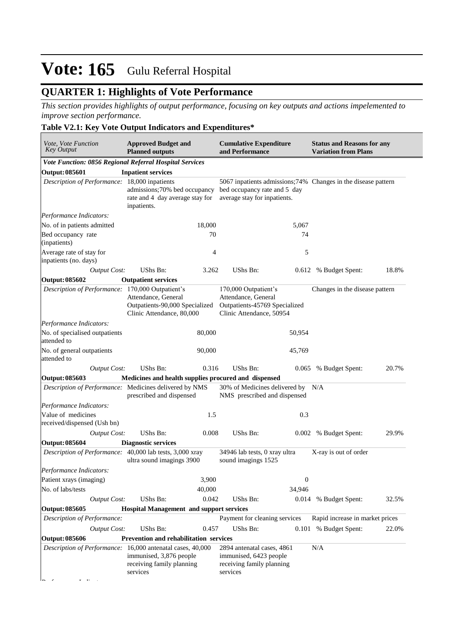# **QUARTER 1: Highlights of Vote Performance**

*This section provides highlights of output performance, focusing on key outputs and actions impelemented to improve section performance.*

### **Table V2.1: Key Vote Output Indicators and Expenditures\***

| <b>Approved Budget and</b><br>Vote, Vote Function<br><b>Key Output</b><br><b>Planned outputs</b> |                                                                                                                                                                                                                                                                   |        | <b>Cumulative Expenditure</b><br>and Performance                                                         |                  | <b>Status and Reasons for any</b><br><b>Variation from Plans</b> |       |  |
|--------------------------------------------------------------------------------------------------|-------------------------------------------------------------------------------------------------------------------------------------------------------------------------------------------------------------------------------------------------------------------|--------|----------------------------------------------------------------------------------------------------------|------------------|------------------------------------------------------------------|-------|--|
| Vote Function: 0856 Regional Referral Hospital Services                                          |                                                                                                                                                                                                                                                                   |        |                                                                                                          |                  |                                                                  |       |  |
| <b>Output: 085601</b>                                                                            | <b>Inpatient services</b>                                                                                                                                                                                                                                         |        |                                                                                                          |                  |                                                                  |       |  |
|                                                                                                  | Description of Performance: 18,000 inpatients<br>5067 inpatients admissions; 74% Changes in the disease pattern<br>admissions;70% bed occupancy<br>bed occupancy rate and 5 day<br>average stay for inpatients.<br>rate and 4 day average stay for<br>inpatients. |        |                                                                                                          |                  |                                                                  |       |  |
| Performance Indicators:                                                                          |                                                                                                                                                                                                                                                                   |        |                                                                                                          |                  |                                                                  |       |  |
| No. of in patients admitted                                                                      |                                                                                                                                                                                                                                                                   | 18,000 |                                                                                                          | 5,067            |                                                                  |       |  |
| Bed occupancy rate<br>(inpatients)                                                               |                                                                                                                                                                                                                                                                   | 70     |                                                                                                          | 74               |                                                                  |       |  |
| Average rate of stay for<br>inpatients (no. days)                                                |                                                                                                                                                                                                                                                                   | 4      |                                                                                                          | 5                |                                                                  |       |  |
| <b>Output Cost:</b>                                                                              | <b>UShs Bn:</b>                                                                                                                                                                                                                                                   | 3.262  | <b>UShs Bn:</b>                                                                                          |                  | 0.612 % Budget Spent:                                            | 18.8% |  |
| Output: 085602                                                                                   | <b>Outpatient services</b>                                                                                                                                                                                                                                        |        |                                                                                                          |                  |                                                                  |       |  |
| Description of Performance: 170,000 Outpatient's                                                 | Attendance, General<br>Outpatients-90,000 Specialized<br>Clinic Attendance, 80,000                                                                                                                                                                                |        | 170,000 Outpatient's<br>Attendance, General<br>Outpatients-45769 Specialized<br>Clinic Attendance, 50954 |                  | Changes in the disease pattern                                   |       |  |
| Performance Indicators:                                                                          |                                                                                                                                                                                                                                                                   |        |                                                                                                          |                  |                                                                  |       |  |
| No. of specialised outpatients<br>attended to                                                    |                                                                                                                                                                                                                                                                   | 80,000 |                                                                                                          | 50,954           |                                                                  |       |  |
| No. of general outpatients<br>attended to                                                        |                                                                                                                                                                                                                                                                   | 90,000 |                                                                                                          | 45,769           |                                                                  |       |  |
| <b>Output Cost:</b>                                                                              | <b>UShs Bn:</b>                                                                                                                                                                                                                                                   | 0.316  | <b>UShs Bn:</b>                                                                                          | 0.065            | % Budget Spent:                                                  | 20.7% |  |
| Output: 085603                                                                                   | Medicines and health supplies procured and dispensed                                                                                                                                                                                                              |        |                                                                                                          |                  |                                                                  |       |  |
| Description of Performance: Medicines delivered by NMS                                           | prescribed and dispensed                                                                                                                                                                                                                                          |        | 30% of Medicines delivered by<br>NMS prescribed and dispensed                                            |                  | N/A                                                              |       |  |
| Performance Indicators:                                                                          |                                                                                                                                                                                                                                                                   |        |                                                                                                          |                  |                                                                  |       |  |
| Value of medicines<br>received/dispensed (Ush bn)                                                |                                                                                                                                                                                                                                                                   | 1.5    |                                                                                                          | 0.3              |                                                                  |       |  |
| <b>Output Cost:</b>                                                                              | <b>UShs Bn:</b>                                                                                                                                                                                                                                                   | 0.008  | <b>UShs Bn:</b>                                                                                          | 0.002            | % Budget Spent:                                                  | 29.9% |  |
| Output: 085604                                                                                   | <b>Diagnostic services</b>                                                                                                                                                                                                                                        |        |                                                                                                          |                  |                                                                  |       |  |
| Description of Performance: 40,000 lab tests, 3,000 xray                                         | ultra sound imagings 3900                                                                                                                                                                                                                                         |        | 34946 lab tests, 0 xray ultra<br>sound imagings 1525                                                     |                  | X-ray is out of order                                            |       |  |
| Performance Indicators:                                                                          |                                                                                                                                                                                                                                                                   |        |                                                                                                          |                  |                                                                  |       |  |
| Patient xrays (imaging)                                                                          |                                                                                                                                                                                                                                                                   | 3,900  |                                                                                                          | $\boldsymbol{0}$ |                                                                  |       |  |
| No. of labs/tests                                                                                |                                                                                                                                                                                                                                                                   | 40,000 |                                                                                                          | 34,946           |                                                                  |       |  |
| <b>Output Cost:</b>                                                                              | UShs Bn:                                                                                                                                                                                                                                                          | 0.042  | <b>UShs Bn:</b>                                                                                          | 0.014            | % Budget Spent:                                                  | 32.5% |  |
| Output: 085605                                                                                   | <b>Hospital Management and support services</b>                                                                                                                                                                                                                   |        |                                                                                                          |                  |                                                                  |       |  |
| Description of Performance:                                                                      |                                                                                                                                                                                                                                                                   |        | Payment for cleaning services                                                                            |                  | Rapid increase in market prices                                  |       |  |
| <b>Output Cost:</b>                                                                              | <b>UShs Bn:</b>                                                                                                                                                                                                                                                   | 0.457  | UShs Bn:                                                                                                 | 0.101            | % Budget Spent:                                                  | 22.0% |  |
| <b>Output: 085606</b>                                                                            | Prevention and rehabilitation services                                                                                                                                                                                                                            |        |                                                                                                          |                  |                                                                  |       |  |
| Description of Performance: 16,000 antenatal cases, 40,000                                       | immunised, 3,876 people<br>receiving family planning<br>services                                                                                                                                                                                                  |        | 2894 antenatal cases, 4861<br>immunised, 6423 people<br>receiving family planning<br>services            |                  | N/A                                                              |       |  |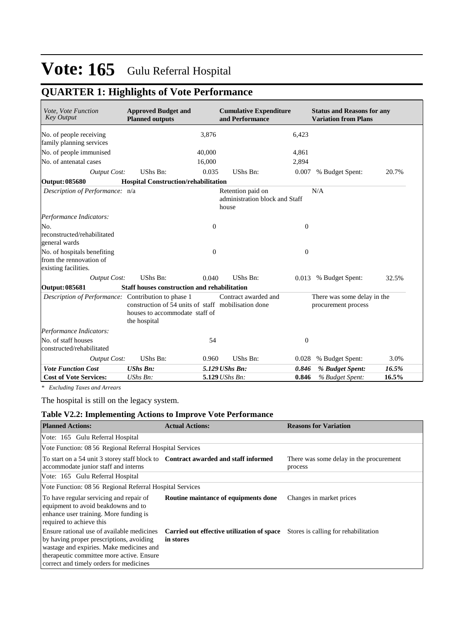# **QUARTER 1: Highlights of Vote Performance**

| Vote, Vote Function<br><b>Key Output</b>                                       | <b>Approved Budget and</b><br><b>Planned outputs</b>                                                  |              | <b>Cumulative Expenditure</b><br>and Performance             |                  | <b>Status and Reasons for any</b><br><b>Variation from Plans</b> |       |
|--------------------------------------------------------------------------------|-------------------------------------------------------------------------------------------------------|--------------|--------------------------------------------------------------|------------------|------------------------------------------------------------------|-------|
| No. of people receiving                                                        |                                                                                                       | 3,876        |                                                              | 6,423            |                                                                  |       |
| family planning services                                                       |                                                                                                       |              |                                                              |                  |                                                                  |       |
| No. of people immunised                                                        |                                                                                                       | 40,000       |                                                              | 4,861            |                                                                  |       |
| No. of antenatal cases                                                         |                                                                                                       | 16,000       |                                                              | 2,894            |                                                                  |       |
| <b>Output Cost:</b>                                                            | UShs Bn:                                                                                              | 0.035        | UShs Bn:                                                     | 0.007            | % Budget Spent:                                                  | 20.7% |
| Output: 085680                                                                 | <b>Hospital Construction/rehabilitation</b>                                                           |              |                                                              |                  |                                                                  |       |
| Description of Performance: n/a                                                |                                                                                                       |              | Retention paid on<br>administration block and Staff<br>house |                  | N/A                                                              |       |
| Performance Indicators:                                                        |                                                                                                       |              |                                                              |                  |                                                                  |       |
| No.                                                                            |                                                                                                       | $\mathbf{0}$ |                                                              | $\theta$         |                                                                  |       |
| reconstructed/rehabilitated<br>general wards                                   |                                                                                                       |              |                                                              |                  |                                                                  |       |
| No. of hospitals benefiting<br>from the rennovation of<br>existing facilities. |                                                                                                       | $\mathbf{0}$ |                                                              | $\theta$         |                                                                  |       |
| <b>Output Cost:</b>                                                            | UShs Bn:                                                                                              | 0.040        | UShs Bn:                                                     |                  | 0.013 % Budget Spent:                                            | 32.5% |
| Output: 085681                                                                 | <b>Staff houses construction and rehabilitation</b>                                                   |              |                                                              |                  |                                                                  |       |
| Description of Performance: Contribution to phase 1                            | construction of 54 units of staff mobilisation done<br>houses to accommodate staff of<br>the hospital |              | Contract awarded and                                         |                  | There was some delay in the<br>procurement process               |       |
| Performance Indicators:                                                        |                                                                                                       |              |                                                              |                  |                                                                  |       |
| No. of staff houses<br>constructed/rehabilitated                               |                                                                                                       | 54           |                                                              | $\boldsymbol{0}$ |                                                                  |       |
| <b>Output Cost:</b>                                                            | UShs Bn:                                                                                              | 0.960        | UShs Bn:                                                     | 0.028            | % Budget Spent:                                                  | 3.0%  |
| <b>Vote Function Cost</b>                                                      | <b>UShs Bn:</b>                                                                                       |              | 5.129 UShs Bn:                                               | 0.846            | % Budget Spent:                                                  | 16.5% |
| <b>Cost of Vote Services:</b>                                                  | UShs Bn:                                                                                              |              | 5.129 UShs Bn:                                               | 0.846            | % Budget Spent:                                                  | 16.5% |

*\* Excluding Taxes and Arrears*

The hospital is still on the legacy system.

## **Table V2.2: Implementing Actions to Improve Vote Performance**

| <b>Planned Actions:</b>                                                                                                                                                                                                    | <b>Actual Actions:</b>                                   | <b>Reasons for Variation</b>                       |  |  |  |  |  |  |  |
|----------------------------------------------------------------------------------------------------------------------------------------------------------------------------------------------------------------------------|----------------------------------------------------------|----------------------------------------------------|--|--|--|--|--|--|--|
| Vote: 165 Gulu Referral Hospital                                                                                                                                                                                           |                                                          |                                                    |  |  |  |  |  |  |  |
| Vote Function: 08 56 Regional Referral Hospital Services                                                                                                                                                                   |                                                          |                                                    |  |  |  |  |  |  |  |
| To start on a 54 unit 3 storey staff block to <b>Contract awarded and staff informed</b><br>accommodate junior staff and interns                                                                                           |                                                          | There was some delay in the procurement<br>process |  |  |  |  |  |  |  |
| Vote: 165 Gulu Referral Hospital                                                                                                                                                                                           |                                                          |                                                    |  |  |  |  |  |  |  |
|                                                                                                                                                                                                                            | Vote Function: 08 56 Regional Referral Hospital Services |                                                    |  |  |  |  |  |  |  |
| To have regular servicing and repair of<br>equipment to avoid beakdowns and to<br>enhance user training. More funding is<br>required to achieve this                                                                       | Routine maintance of equipments done                     | Changes in market prices                           |  |  |  |  |  |  |  |
| Ensure rational use of available medicines<br>by having proper prescriptions, avoiding<br>wastage and expiries. Make medicines and<br>therapeutic committee more active. Ensure<br>correct and timely orders for medicines | Carried out effective utilization of space<br>in stores  | Stores is calling for rehabilitation               |  |  |  |  |  |  |  |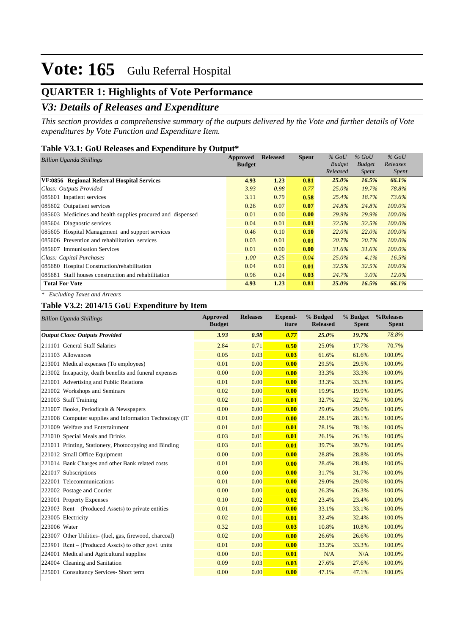# **QUARTER 1: Highlights of Vote Performance**

# *V3: Details of Releases and Expenditure*

*This section provides a comprehensive summary of the outputs delivered by the Vote and further details of Vote expenditures by Vote Function and Expenditure Item.*

#### **Table V3.1: GoU Releases and Expenditure by Output\***

| <b>Billion Uganda Shillings</b>                             | Approved      | <b>Released</b> | <b>Spent</b> | $%$ GoU       | $%$ GoU       | $%$ GoU      |
|-------------------------------------------------------------|---------------|-----------------|--------------|---------------|---------------|--------------|
|                                                             | <b>Budget</b> |                 |              | <b>Budget</b> | <b>Budget</b> | Releases     |
|                                                             |               |                 |              | Released      | <i>Spent</i>  | <i>Spent</i> |
| VF:0856 Regional Referral Hospital Services                 | 4.93          | 1.23            | 0.81         | 25.0%         | 16.5%         | 66.1%        |
| Class: Outputs Provided                                     | 3.93          | 0.98            | 0.77         | $25.0\%$      | 19.7%         | 78.8%        |
| 085601 Inpatient services                                   | 3.11          | 0.79            | 0.58         | 25.4%         | 18.7%         | 73.6%        |
| 085602 Outpatient services                                  | 0.26          | 0.07            | 0.07         | 24.8%         | 24.8%         | $100.0\%$    |
| 085603 Medicines and health supplies procured and dispensed | 0.01          | 0.00            | 0.00         | 29.9%         | 29.9%         | $100.0\%$    |
| 085604 Diagnostic services                                  | 0.04          | 0.01            | 0.01         | 32.5%         | 32.5%         | 100.0%       |
| 085605 Hospital Management and support services             | 0.46          | 0.10            | 0.10         | 22.0%         | 22.0%         | $100.0\%$    |
| 085606 Prevention and rehabilitation services               | 0.03          | 0.01            | 0.01         | 20.7%         | 20.7%         | $100.0\%$    |
| 085607 Immunisation Services                                | 0.01          | 0.00            | 0.00         | 31.6%         | 31.6%         | $100.0\%$    |
| Class: Capital Purchases                                    | 1.00          | 0.25            | 0.04         | $25.0\%$      | 4.1%          | 16.5%        |
| 085680 Hospital Construction/rehabilitation                 | 0.04          | 0.01            | 0.01         | 32.5%         | 32.5%         | $100.0\%$    |
| 085681 Staff houses construction and rehabilitation         | 0.96          | 0.24            | 0.03         | 24.7%         | $3.0\%$       | $12.0\%$     |
| <b>Total For Vote</b>                                       | 4.93          | 1.23            | 0.81         | $25.0\%$      | 16.5%         | 66.1%        |

*\* Excluding Taxes and Arrears*

### **Table V3.2: 2014/15 GoU Expenditure by Item**

| <b>Billion Uganda Shillings</b>                          | <b>Approved</b><br><b>Budget</b> | <b>Releases</b> | Expend-<br>iture | % Budged<br><b>Released</b> | % Budget<br><b>Spent</b> | %Releases<br><b>Spent</b> |
|----------------------------------------------------------|----------------------------------|-----------------|------------------|-----------------------------|--------------------------|---------------------------|
| <b>Output Class: Outputs Provided</b>                    | 3.93                             | 0.98            | 0.77             | 25.0%                       | 19.7%                    | 78.8%                     |
| 211101 General Staff Salaries                            | 2.84                             | 0.71            | 0.50             | 25.0%                       | 17.7%                    | 70.7%                     |
| 211103 Allowances                                        | 0.05                             | 0.03            | 0.03             | 61.6%                       | 61.6%                    | 100.0%                    |
| 213001 Medical expenses (To employees)                   | 0.01                             | 0.00            | 0.00             | 29.5%                       | 29.5%                    | 100.0%                    |
| 213002 Incapacity, death benefits and funeral expenses   | 0.00                             | 0.00            | 0.00             | 33.3%                       | 33.3%                    | 100.0%                    |
| 221001 Advertising and Public Relations                  | 0.01                             | 0.00            | 0.00             | 33.3%                       | 33.3%                    | 100.0%                    |
| 221002 Workshops and Seminars                            | 0.02                             | 0.00            | 0.00             | 19.9%                       | 19.9%                    | 100.0%                    |
| 221003 Staff Training                                    | 0.02                             | 0.01            | 0.01             | 32.7%                       | 32.7%                    | 100.0%                    |
| 221007 Books, Periodicals & Newspapers                   | 0.00                             | 0.00            | 0.00             | 29.0%                       | 29.0%                    | 100.0%                    |
| 221008 Computer supplies and Information Technology (IT) | 0.01                             | 0.00            | 0.00             | 28.1%                       | 28.1%                    | 100.0%                    |
| 221009 Welfare and Entertainment                         | 0.01                             | 0.01            | 0.01             | 78.1%                       | 78.1%                    | 100.0%                    |
| 221010 Special Meals and Drinks                          | 0.03                             | 0.01            | 0.01             | 26.1%                       | 26.1%                    | 100.0%                    |
| 221011 Printing, Stationery, Photocopying and Binding    | 0.03                             | 0.01            | 0.01             | 39.7%                       | 39.7%                    | 100.0%                    |
| 221012 Small Office Equipment                            | 0.00                             | 0.00            | 0.00             | 28.8%                       | 28.8%                    | 100.0%                    |
| 221014 Bank Charges and other Bank related costs         | 0.01                             | 0.00            | 0.00             | 28.4%                       | 28.4%                    | 100.0%                    |
| 221017 Subscriptions                                     | 0.00                             | 0.00            | 0.00             | 31.7%                       | 31.7%                    | 100.0%                    |
| 222001 Telecommunications                                | 0.01                             | 0.00            | 0.00             | 29.0%                       | 29.0%                    | 100.0%                    |
| 222002 Postage and Courier                               | 0.00                             | 0.00            | 0.00             | 26.3%                       | 26.3%                    | 100.0%                    |
| 223001 Property Expenses                                 | 0.10                             | 0.02            | 0.02             | 23.4%                       | 23.4%                    | 100.0%                    |
| $223003$ Rent – (Produced Assets) to private entities    | 0.01                             | 0.00            | 0.00             | 33.1%                       | 33.1%                    | 100.0%                    |
| 223005 Electricity                                       | 0.02                             | 0.01            | 0.01             | 32.4%                       | 32.4%                    | 100.0%                    |
| 223006 Water                                             | 0.32                             | 0.03            | 0.03             | 10.8%                       | 10.8%                    | 100.0%                    |
| 223007 Other Utilities- (fuel, gas, firewood, charcoal)  | 0.02                             | 0.00            | 0.00             | 26.6%                       | 26.6%                    | 100.0%                    |
| $[223901$ Rent – (Produced Assets) to other govt. units  | 0.01                             | 0.00            | 0.00             | 33.3%                       | 33.3%                    | 100.0%                    |
| 224001 Medical and Agricultural supplies                 | 0.00                             | 0.01            | 0.01             | N/A                         | N/A                      | 100.0%                    |
| 224004 Cleaning and Sanitation                           | 0.09                             | 0.03            | 0.03             | 27.6%                       | 27.6%                    | 100.0%                    |
| 225001 Consultancy Services- Short term                  | 0.00                             | 0.00            | 0.00             | 47.1%                       | 47.1%                    | 100.0%                    |